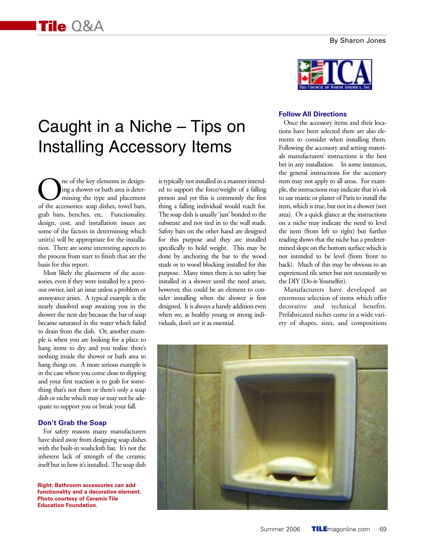# Caught in a Niche – Tips on Installing Accessory Items

One of the key elements in designing a shower or bath area is deter-<br>mining the type and placement<br>of the accessories: soap dishes, towel bars, ing a shower or bath area is determining the type and placement grab bars, benches, etc. Functionality, design, cost, and installation issues are some of the factors in determining which unit(s) will be appropriate for the installation. There are some interesting aspects to the process from start to finish that are the basis for this report.

Most likely the placement of the accessories, even if they were installed by a previous owner, isn't an issue unless a problem or annoyance arises. A typical example is the nearly dissolved soap awaiting you in the shower the next day because the bar of soap became saturated in the water which failed to drain from the dish. Or, another example is when you are looking for a place to hang items to dry and you realize there's nothing inside the shower or bath area to hang things on. A more serious example is in the case where you come close to slipping and your first reaction is to grab for something that's not there or there's only a soap dish or niche which may or may not be adequate to support you or break your fall.

## **Don't Grab the Soap**

For safety reasons many manufacturers have shied away from designing soap dishes with the built-in washcloth bar. It's not the inherent lack of strength of the ceramic itself but in how it's installed. The soap dish

**Right: Bathroom accessories can add functionality and a decorative element. Photo courtesy of Ceramic Tile Education Foundation.**

is typically not installed in a manner intended to support the force/weight of a falling person and yet this is commonly the first thing a falling individual would reach for. The soap dish is usually 'just' bonded to the substrate and not tied in to the wall studs. Safety bars on the other hand are designed for this purpose and they are installed specifically to hold weight. This may be done by anchoring the bar to the wood studs or to wood blocking installed for this purpose. Many times there is no safety bar installed in a shower until the need arises, however, this could be an element to consider installing when the shower is first designed. It is always a handy addition even when we, as healthy young or strong individuals, don't see it as essential.



#### **Follow All Directions**

Once the accessory items and their locations have been selected there are also elements to consider when installing them. Following the accessory and setting materials manufacturers' instructions is the best bet in any installation. In some instances, the general instructions for the accessory item may not apply to all areas. For example, the instructions may indicate that it's ok to use mastic or plaster of Paris to install the item, which is true, but not in a shower (wet area). Or a quick glance at the instructions on a niche may indicate the need to level the item (from left to right) but further reading shows that the niche has a predetermined slope on the bottom surface which is not intended to be level (from front to back). Much of this may be obvious to an experienced tile setter but not necessarily to the DIY (Do-it-Yourselfer).

Manufacturers have developed an enormous selection of items which offer decorative and technical benefits. Prefabricated niches come in a wide variety of shapes, sizes, and compositions